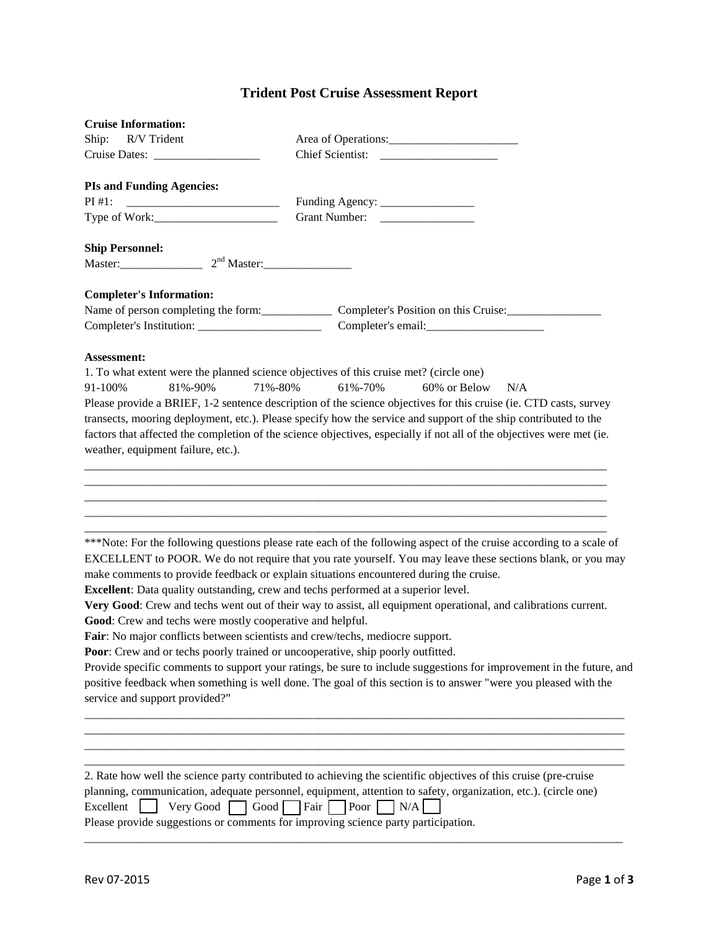## **Trident Post Cruise Assessment Report**

| <b>Cruise Information:</b>                                                                                                                                                                                                                                                                                                 |                                                                                                                                                                                                                                                                                                                                                                                                                                                                                                                                                                         |
|----------------------------------------------------------------------------------------------------------------------------------------------------------------------------------------------------------------------------------------------------------------------------------------------------------------------------|-------------------------------------------------------------------------------------------------------------------------------------------------------------------------------------------------------------------------------------------------------------------------------------------------------------------------------------------------------------------------------------------------------------------------------------------------------------------------------------------------------------------------------------------------------------------------|
| Ship: R/V Trident                                                                                                                                                                                                                                                                                                          |                                                                                                                                                                                                                                                                                                                                                                                                                                                                                                                                                                         |
|                                                                                                                                                                                                                                                                                                                            |                                                                                                                                                                                                                                                                                                                                                                                                                                                                                                                                                                         |
| <b>PIs and Funding Agencies:</b>                                                                                                                                                                                                                                                                                           |                                                                                                                                                                                                                                                                                                                                                                                                                                                                                                                                                                         |
| PI#1:                                                                                                                                                                                                                                                                                                                      |                                                                                                                                                                                                                                                                                                                                                                                                                                                                                                                                                                         |
|                                                                                                                                                                                                                                                                                                                            |                                                                                                                                                                                                                                                                                                                                                                                                                                                                                                                                                                         |
|                                                                                                                                                                                                                                                                                                                            |                                                                                                                                                                                                                                                                                                                                                                                                                                                                                                                                                                         |
| <b>Ship Personnel:</b><br>Master: 2 <sup>nd</sup> Master: 2000 Master:                                                                                                                                                                                                                                                     |                                                                                                                                                                                                                                                                                                                                                                                                                                                                                                                                                                         |
|                                                                                                                                                                                                                                                                                                                            |                                                                                                                                                                                                                                                                                                                                                                                                                                                                                                                                                                         |
| <b>Completer's Information:</b>                                                                                                                                                                                                                                                                                            |                                                                                                                                                                                                                                                                                                                                                                                                                                                                                                                                                                         |
|                                                                                                                                                                                                                                                                                                                            | Name of person completing the form: Completer's Position on this Cruise: Completer's Position on this Cruise:                                                                                                                                                                                                                                                                                                                                                                                                                                                           |
|                                                                                                                                                                                                                                                                                                                            |                                                                                                                                                                                                                                                                                                                                                                                                                                                                                                                                                                         |
|                                                                                                                                                                                                                                                                                                                            |                                                                                                                                                                                                                                                                                                                                                                                                                                                                                                                                                                         |
| Assessment:                                                                                                                                                                                                                                                                                                                |                                                                                                                                                                                                                                                                                                                                                                                                                                                                                                                                                                         |
| 81%-90%<br>71%-80%<br>91-100%                                                                                                                                                                                                                                                                                              | 1. To what extent were the planned science objectives of this cruise met? (circle one)<br>61%-70%<br>60% or Below<br>N/A                                                                                                                                                                                                                                                                                                                                                                                                                                                |
|                                                                                                                                                                                                                                                                                                                            | Please provide a BRIEF, 1-2 sentence description of the science objectives for this cruise (ie. CTD casts, survey                                                                                                                                                                                                                                                                                                                                                                                                                                                       |
|                                                                                                                                                                                                                                                                                                                            | transects, mooring deployment, etc.). Please specify how the service and support of the ship contributed to the                                                                                                                                                                                                                                                                                                                                                                                                                                                         |
|                                                                                                                                                                                                                                                                                                                            | factors that affected the completion of the science objectives, especially if not all of the objectives were met (ie.                                                                                                                                                                                                                                                                                                                                                                                                                                                   |
| weather, equipment failure, etc.).                                                                                                                                                                                                                                                                                         |                                                                                                                                                                                                                                                                                                                                                                                                                                                                                                                                                                         |
|                                                                                                                                                                                                                                                                                                                            |                                                                                                                                                                                                                                                                                                                                                                                                                                                                                                                                                                         |
| Excellent: Data quality outstanding, crew and techs performed at a superior level.<br>Good: Crew and techs were mostly cooperative and helpful.<br><b>Fair:</b> No major conflicts between scientists and crew/techs, mediocre support.<br>Poor: Crew and or techs poorly trained or uncooperative, ship poorly outfitted. | ***Note: For the following questions please rate each of the following aspect of the cruise according to a scale of<br>EXCELLENT to POOR. We do not require that you rate yourself. You may leave these sections blank, or you may<br>make comments to provide feedback or explain situations encountered during the cruise.<br>Very Good: Crew and techs went out of their way to assist, all equipment operational, and calibrations current.<br>Provide specific comments to support your ratings, be sure to include suggestions for improvement in the future, and |
| service and support provided?"                                                                                                                                                                                                                                                                                             | positive feedback when something is well done. The goal of this section is to answer "were you pleased with the                                                                                                                                                                                                                                                                                                                                                                                                                                                         |
| Excellent                                                                                                                                                                                                                                                                                                                  | 2. Rate how well the science party contributed to achieving the scientific objectives of this cruise (pre-cruise<br>planning, communication, adequate personnel, equipment, attention to safety, organization, etc.). (circle one)<br>Very Good Good Fair Poor<br>N/A<br>Please provide suggestions or comments for improving science party participation.                                                                                                                                                                                                              |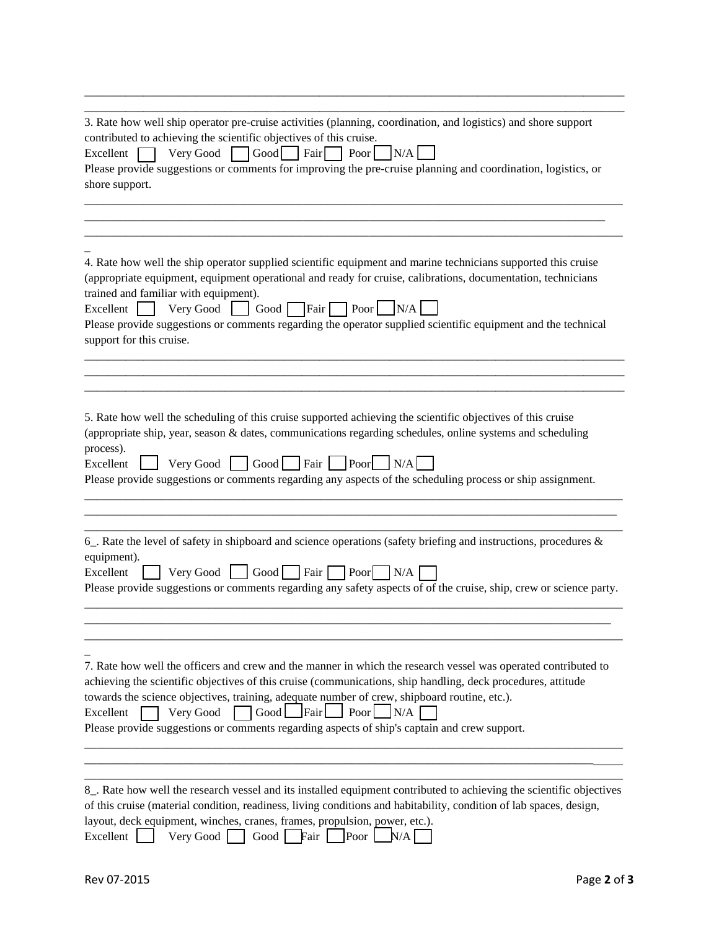| 3. Rate how well ship operator pre-cruise activities (planning, coordination, and logistics) and shore support<br>contributed to achieving the scientific objectives of this cruise.<br>N/A<br>$\text{Very Good } \Box$ Good     Fair<br>Excellent<br>Poor<br>Please provide suggestions or comments for improving the pre-cruise planning and coordination, logistics, or<br>shore support.                                                                                                        |
|-----------------------------------------------------------------------------------------------------------------------------------------------------------------------------------------------------------------------------------------------------------------------------------------------------------------------------------------------------------------------------------------------------------------------------------------------------------------------------------------------------|
|                                                                                                                                                                                                                                                                                                                                                                                                                                                                                                     |
| 4. Rate how well the ship operator supplied scientific equipment and marine technicians supported this cruise<br>(appropriate equipment, equipment operational and ready for cruise, calibrations, documentation, technicians<br>trained and familiar with equipment).<br>Very Good $\bigcup$ Good Fair Poor $\bigcup$ N/A<br>Excellent  <br>Please provide suggestions or comments regarding the operator supplied scientific equipment and the technical<br>support for this cruise.              |
|                                                                                                                                                                                                                                                                                                                                                                                                                                                                                                     |
| 5. Rate how well the scheduling of this cruise supported achieving the scientific objectives of this cruise<br>(appropriate ship, year, season & dates, communications regarding schedules, online systems and scheduling<br>process).<br>Very Good Good Fair Poor N/A<br>Excellent<br>Please provide suggestions or comments regarding any aspects of the scheduling process or ship assignment.                                                                                                   |
| 6. Rate the level of safety in shipboard and science operations (safety briefing and instructions, procedures &<br>equipment).<br>Excellent<br>Very Good   $\vert$ Good   Fair   Poor   N/A<br>Please provide suggestions or comments regarding any safety aspects of of the cruise, ship, crew or science party.                                                                                                                                                                                   |
|                                                                                                                                                                                                                                                                                                                                                                                                                                                                                                     |
| 7. Rate how well the officers and crew and the manner in which the research vessel was operated contributed to<br>achieving the scientific objectives of this cruise (communications, ship handling, deck procedures, attitude<br>towards the science objectives, training, adequate number of crew, shipboard routine, etc.).<br>Good $\Box$ Fair $\Box$ Poor $\Box N/A$<br>Very Good<br>Excellent<br>Please provide suggestions or comments regarding aspects of ship's captain and crew support. |
| 8_. Rate how well the research vessel and its installed equipment contributed to achieving the scientific objectives<br>of this cruise (material condition, readiness, living conditions and habitability, condition of lab spaces, design,<br>layout, deck equipment, winches, cranes, frames, propulsion, power, etc.).<br>Excellent  <br>Good Fair<br>Very Good $\vert$<br>Poor<br>N/A                                                                                                           |

 $\overline{\phantom{a}}$  , and the contribution of the contribution of the contribution of the contribution of the contribution of the contribution of the contribution of the contribution of the contribution of the contribution of the